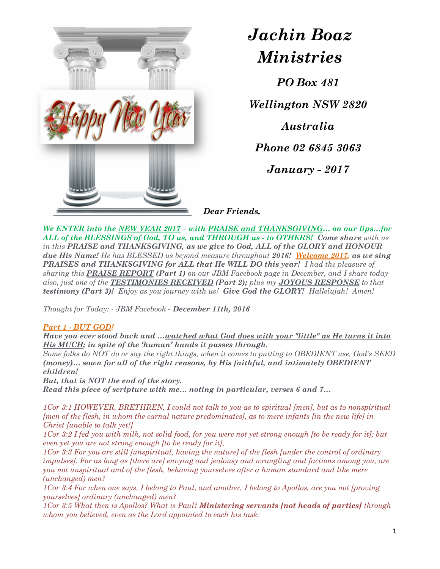

# Jachin Boaz Ministries

PO Box 481

Wellington NSW 2820

Australia

Phone 02 6845 3063

January - 2017

Dear Friends,

We ENTER into the NEW YEAR 2017 – with PRAISE and THANKSGIVING... on our lips...for ALL of the BLESSINGS of God, TO us, and THROUGH us - to OTHERS! Come share with us in this PRAISE and THANKSGIVING, as we give to God, ALL of the GLORY and HONOUR due His Name! He has BLESSED us beyond measure throughout 2016! Welcome 2017, as we sing PRAISES and THANKSGIVING for ALL that He WILL DO this year! I had the pleasure of sharing this **PRAISE REPORT** (Part 1) on our JBM Facebook page in December, and I share today also, just one of the **TESTIMONIES RECEIVED (Part 2);** plus my **JOYOUS RESPONSE** to that testimony (Part 3)! Enjoy as you journey with us! Give God the GLORY! Hallelujah! Amen!

Thought for Today: - JBM Facebook - December 11th, 2016

## Part 1 - BUT GOD!

Have you ever stood back and …watched what God does with your "little" as He turns it into His MUCH; in spite of the 'human' hands it passes through.

Some folks do NOT do or say the right things, when it comes to putting to OBEDIENT use, God's SEED (money)… sown for all of the right reasons, by His faithful, and intimately OBEDIENT children!

But, that is NOT the end of the story.

Read this piece of scripture with me… noting in particular, verses 6 and 7…

1Cor 3:1 HOWEVER, BRETHREN, I could not talk to you as to spiritual [men], but as to nonspiritual [men of the flesh, in whom the carnal nature predominates], as to mere infants [in the new life] in Christ [unable to talk yet!]

1Cor 3:2 I fed you with milk, not solid food, for you were not yet strong enough [to be ready for it]; but even yet you are not strong enough [to be ready for it],

1Cor 3:3 For you are still [unspiritual, having the nature] of the flesh [under the control of ordinary impulses]. For as long as [there are] envying and jealousy and wrangling and factions among you, are you not unspiritual and of the flesh, behaving yourselves after a human standard and like mere (unchanged) men?

1Cor 3:4 For when one says, I belong to Paul, and another, I belong to Apollos, are you not [proving yourselves] ordinary (unchanged) men?

1Cor 3:5 What then is Apollos? What is Paul? **Ministering servants [not heads of parties]** through whom you believed, even as the Lord appointed to each his task: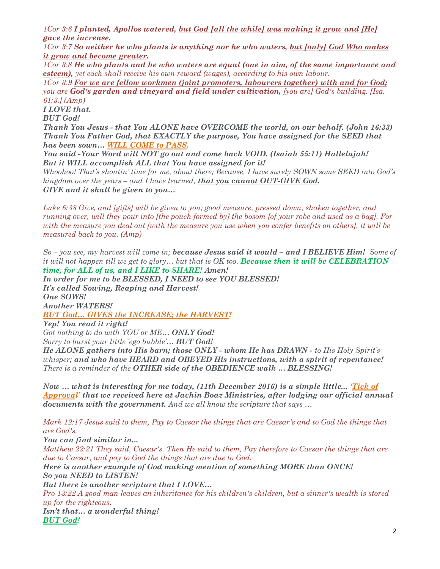$1C$ or 3:6 I planted, Apollos watered, but God [all the while] was making it grow and [He] gave the increase.<br>1Cor 3:7 So neither he who plants is anything nor he who waters, <u>but [only] God Who makes</u>

 $\frac{\textit{it}~\textit{grow}~\textit{and}~\textit{become}~\textit{greater}}{1Cor~3:8~\textit{He}~\textit{who}~\textit{paths}~\textit{and}~\textit{he}~\textit{who}~\textit{vates}~\textit{are}~\textit{equal}~(\textit{one}~\textit{in}~\textit{aim},~\textit{of}~\textit{the}~\textit{same}~\textit{importance}~\textit{and}~\textit{or}~\textit{in}~\textit{in}~\textit{in}~\textit{in}~\textit{in}~\textit{in}~\textit{$ 

esteem), yet each shall receive his own reward (wages), according to his own labour.

1Cor 3:9 For we are fellow workmen (joint promoters, labourers together) with and for God; you are God's garden and vineyard and field under cultivation, [you are] God's building. [Isa. 61:3.] (Amp)

I LOVE that.

BUT God!

Thank You Jesus - that You ALONE have OVERCOME the world, on our behalf. (John 16:33) Thank You Father God, that EXACTLY the purpose, You have assigned for the SEED that has been sown... WILL COME to PASS.

You said -Your Word will NOT go out and come back VOID. (Isaiah 55:11) Hallelujah! But it WILL accomplish ALL that You have assigned for it!

Whoohoo! That's shoutin' time for me, about there; Because, I have surely SOWN some SEED into God's kingdom over the years – and I have learned, **that you cannot OUT-GIVE God.** GIVE and it shall be given to you…

Luke 6:38 Give, and [gifts] will be given to you; good measure, pressed down, shaken together, and running over, will they pour into [the pouch formed by] the bosom [of your robe and used as a bag]. For with the measure you deal out [with the measure you use when you confer benefits on others], it will be measured back to you. (Amp)

 $So$  – you see, my harvest will come in; **because Jesus said it would – and I BELIEVE Him!** Some of it will not happen till we get to glory... but that is  $OK$  too. Because then it will be CELEBRATION time, for ALL of us, and I LIKE to SHARE! Amen!

In order for me to be BLESSED, I NEED to see YOU BLESSED! It's called Sowing, Reaping and Harvest! One SOWS! Another WATERS! BUT God… GIVES the INCREASE; the HARVEST!

Yep! You read it right! Got nothing to do with YOU or ME... ONLY God! Sorry to burst your little 'ego bubble'... **BUT God!** 

He ALONE gathers into His barn; those ONLY - whom He has DRAWN - to His Holy Spirit's whisper; and who have HEARD and OBEYED His instructions, with a spirit of repentance! There is a reminder of the **OTHER side of the OBEDIENCE walk ... BLESSING!** 

Now  $\ldots$  what is interesting for me today, (11th December 2016) is a simple little... Tick of Approval' that we received here at Jachin Boaz Ministries, after lodging our official annual documents with the government. And we all know the scripture that says …

Mark 12:17 Jesus said to them, Pay to Caesar the things that are Caesar's and to God the things that are God's.

You can find similar in... Matthew 22:21 They said, Caesar's. Then He said to them, Pay therefore to Caesar the things that are due to Caesar, and pay to God the things that are due to God. Here is another example of God making mention of something MORE than ONCE! So you NEED to LISTEN! But there is another scripture that I LOVE… Pro 13:22 A good man leaves an inheritance for his children's children, but a sinner's wealth is stored up for the righteous. Isn't that… a wonderful thing! BUT God!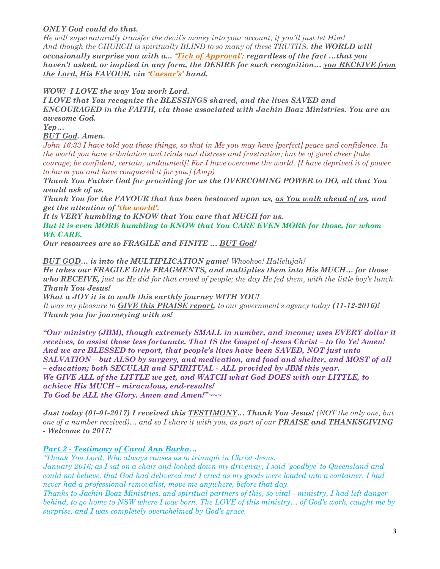### ONLY God could do that.

He will supernaturally transfer the devil's money into your account; if you'll just let Him! And though the CHURCH is spiritually BLIND to so many of these TRUTHS, the WORLD will occasionally surprise you with a... Tick of Approval'; regardless of the fact  $...$ that you haven't asked, or implied in any form, the DESIRE for such recognition… you RECEIVE from the Lord, His FAVOUR, via 'Caesar's' hand.

WOW! I LOVE the way You work Lord.

I LOVE that You recognize the BLESSINGS shared, and the lives SAVED and ENCOURAGED in the FAITH, via those associated with Jachin Boaz Ministries. You are an awesome God.

Yep…

BUT God. Amen.

John 16:33 I have told you these things, so that in Me you may have [perfect] peace and confidence. In the world you have tribulation and trials and distress and frustration; but be of good cheer [take courage; be confident, certain, undaunted]! For I have overcome the world. [I have deprived it of power to harm you and have conquered it for you.] (Amp)

Thank You Father God for providing for us the OVERCOMING POWER to DO, all that You would ask of us.

Thank You for the FAVOUR that has been bestowed upon us, as You walk ahead of us, and get the attention of 'the world'.

It is VERY humbling to KNOW that You care that MUCH for us. But it is even MORE humbling to KNOW that You CARE EVEN MORE for those, for whom WE CARE.

Our resources are so FRAGILE and FINITE … BUT God!

BUT GOD... is into the MULTIPLICATION game! Whoohoo! Hallelujah! He takes our FRAGILE little FRAGMENTS, and multiplies them into His MUCH… for those who RECEIVE, just as He did for that crowd of people; the day He fed them, with the little boy's lunch. Thank You Jesus! What a JOY it is to walk this earthly journey WITH YOU!

It was my pleasure to  $GIVE$  this PRAISE report, to our government's agency today  $(11-12-2016)!$ Thank you for journeying with us!

"Our ministry (JBM), though extremely SMALL in number, and income; uses EVERY dollar it receives, to assist those less fortunate. That IS the Gospel of Jesus Christ – to Go Ye! Amen! And we are BLESSED to report, that people's lives have been SAVED, NOT just unto SALVATION – but ALSO by surgery, and medication, and food and shelter, and MOST of all – education; both SECULAR and SPIRITUAL - ALL provided by JBM this year. We GIVE ALL of the LITTLE we get, and WATCH what God DOES with our LITTLE, to achieve His MUCH – miraculous, end-results! To God be ALL the Glory. Amen and Amen!"~~~

Just today (01-01-2017) I received this TESTIMONY... Thank You Jesus! (NOT the only one, but one of a number received)... and so I share it with you, as part of our **PRAISE and THANKSGIVING** - Welcome to 2017!

### Part 2 - Testimony of Carol Ann Barka…

"Thank You Lord, Who always causes us to triumph in Christ Jesus.

January 2016; as I sat on a chair and looked down my driveway, I said 'goodbye' to Queensland and could not believe, that God had delivered me! I cried as my goods were loaded into a container. I had never had a professional removalist, move me anywhere, before that day.

Thanks to Jachin Boaz Ministries, and spiritual partners of this, so vital - ministry, I had left danger behind, to go home to NSW where I was born. The LOVE of this ministry… of God's work, caught me by surprise, and I was completely overwhelmed by God's grace.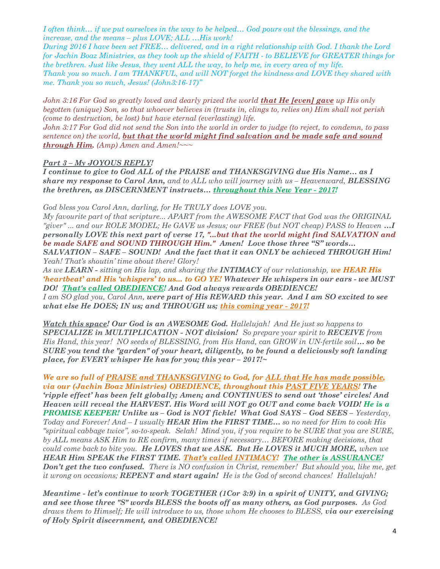I often think… if we put ourselves in the way to be helped… God pours out the blessings, and the increase, and the means – plus LOVE; ALL …His work!

During 2016 I have been set FREE… delivered, and in a right relationship with God. I thank the Lord for Jachin Boaz Ministries, as they took up the shield of FAITH - to BELIEVE for GREATER things for the brethren. Just like Jesus, they went ALL the way, to help me, in every area of my life. Thank you so much. I am THANKFUL, and will NOT forget the kindness and LOVE they shared with me. Thank you so much, Jesus! (John3:16-17)"

John 3:16 For God so greatly loved and dearly prized the world **that He [even] gave** up His only begotten (unique) Son, so that whoever believes in (trusts in, clings to, relies on) Him shall not perish (come to destruction, be lost) but have eternal (everlasting) life.

John 3:17 For God did not send the Son into the world in order to judge (to reject, to condemn, to pass sentence on) the world, but that the world might find salvation and be made safe and sound **through Him.** (Amp) Amen and Amen!~~~

#### Part 3 – My JOYOUS REPLY!

I continue to give to God ALL of the PRAISE and THANKSGIVING due His Name… as I share my response to Carol Ann, and to ALL who will journey with us - Heavenward, BLESSING the brethren, as DISCERNMENT instructs… throughout this New Year - 2017!

God bless you Carol Ann, darling, for He TRULY does LOVE you.

My favourite part of that scripture... APART from the AWESOME FACT that God was the ORIGINAL "giver" ... and our ROLE MODEL; He GAVE us Jesus; our FREE (but NOT cheap) PASS to Heaven ...I personally LOVE this next part of verse 17, "...but that the world might find SALVATION and be made SAFE and SOUND THROUGH Him." Amen! Love those three "S" words... SALVATION – SAFE – SOUND! And the fact that it can ONLY be achieved THROUGH Him! Yeah! That's shoutin' time about there! Glory!

As we LEARN - sitting on His lap, and sharing the INTIMACY of our relationship, we HEAR His 'heartbeat' and His 'whispers' to us... to GO YE! Whatever He whispers in our ears - we MUST DO! That's called OBEDIENCE! And God always rewards OBEDIENCE! I am SO glad you, Carol Ann, were part of His REWARD this year. And I am SO excited to see what else He DOES; IN us; and THROUGH us; this coming year - 2017!

Watch this space! Our God is an AWESOME God. Hallelujah! And He just so happens to SPECIALIZE in MULTIPLICATION - NOT division! So prepare your spirit to RECEIVE from His Hand, this year! NO seeds of BLESSING, from His Hand, can GROW in UN-fertile soil... so be SURE you tend the "garden" of your heart, diligently, to be found a deliciously soft landing place, for EVERY whisper He has for you; this year  $-2017$ !~

We are so full of PRAISE and THANKSGIVING to God, for ALL that He has made possible, via our (Jachin Boaz Ministries) OBEDIENCE, throughout this PAST FIVE YEARS! The 'ripple effect' has been felt globally; Amen; and CONTINUES to send out 'those' circles! And Heaven will reveal the HARVEST. His Word will NOT go OUT and come back VOID! He is a PROMISE KEEPER! Unlike us – God is NOT fickle! What God SAYS – God SEES – Yesterday, Today and Forever! And  $-I$  usually HEAR Him the FIRST TIME... so no need for Him to cook His "spiritual cabbage twice", so-to-speak. Selah! Mind you, if you require to be SURE that you are SURE, by ALL means ASK Him to RE confirm, many times if necessary… BEFORE making decisions, that could come back to bite you. He LOVES that we ASK. But He LOVES it MUCH MORE, when we HEAR Him SPEAK the FIRST TIME. That's called INTIMACY! The other is ASSURANCE! **Don't get the two confused.** There is NO confusion in Christ, remember! But should you, like me, get it wrong on occasions; **REPENT and start again!** He is the God of second chances! Hallelujah!

Meantime - let's continue to work TOGETHER (1Cor 3:9) in a spirit of UNITY, and GIVING; and see those three "S" words BLESS the boots off as many others, as God purposes. As God draws them to Himself; He will introduce to us, those whom He chooses to BLESS, via our exercising of Holy Spirit discernment, and OBEDIENCE!